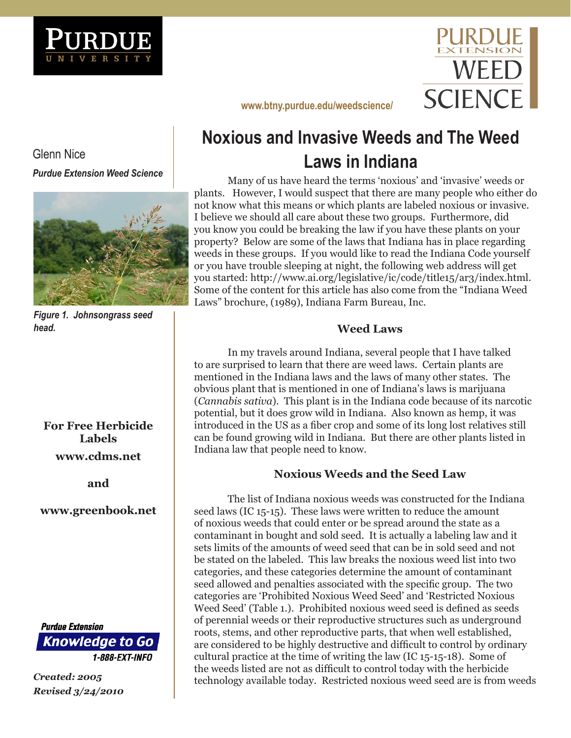



**<www.btny.purdue.edu/weedscience/>**

# **Noxious and Invasive Weeds and The Weed Laws in Indiana**

Many of us have heard the terms 'noxious' and 'invasive' weeds or plants. However, I would suspect that there are many people who either do not know what this means or which plants are labeled noxious or invasive. I believe we should all care about these two groups. Furthermore, did you know you could be breaking the law if you have these plants on your property? Below are some of the laws that Indiana has in place regarding weeds in these groups. If you would like to read the Indiana Code yourself or you have trouble sleeping at night, the following web address will get you started: http://www.ai.org/legislative/ic/code/title15/ar3/index.html. Some of the content for this article has also come from the "Indiana Weed Laws" brochure, (1989), Indiana Farm Bureau, Inc.

## **Weed Laws**

In my travels around Indiana, several people that I have talked to are surprised to learn that there are weed laws. Certain plants are mentioned in the Indiana laws and the laws of many other states. The obvious plant that is mentioned in one of Indiana's laws is marijuana (*Cannabis sativa*). This plant is in the Indiana code because of its narcotic potential, but it does grow wild in Indiana. Also known as hemp, it was introduced in the US as a fiber crop and some of its long lost relatives still can be found growing wild in Indiana. But there are other plants listed in Indiana law that people need to know.

## **Noxious Weeds and the Seed Law**

The list of Indiana noxious weeds was constructed for the Indiana seed laws (IC 15-15). These laws were written to reduce the amount of noxious weeds that could enter or be spread around the state as a contaminant in bought and sold seed. It is actually a labeling law and it sets limits of the amounts of weed seed that can be in sold seed and not be stated on the labeled. This law breaks the noxious weed list into two categories, and these categories determine the amount of contaminant seed allowed and penalties associated with the specific group. The two categories are 'Prohibited Noxious Weed Seed' and 'Restricted Noxious Weed Seed' (Table 1.). Prohibited noxious weed seed is defined as seeds of perennial weeds or their reproductive structures such as underground roots, stems, and other reproductive parts, that when well established, are considered to be highly destructive and difficult to control by ordinary cultural practice at the time of writing the law (IC 15-15-18). Some of the weeds listed are not as difficult to control today with the herbicide technology available today. Restricted noxious weed seed are is from weeds

Glenn Nice *Purdue Extension Weed Science*



*Figure 1. Johnsongrass seed head.*

**For Free Herbicide Labels <www.cdms.net>**

**and** 

**<www.greenbook.net>**

**Purdue Extension Knowledge to Go** 1-888-EXT-INFO

*Created: 2005 Revised 3/24/2010*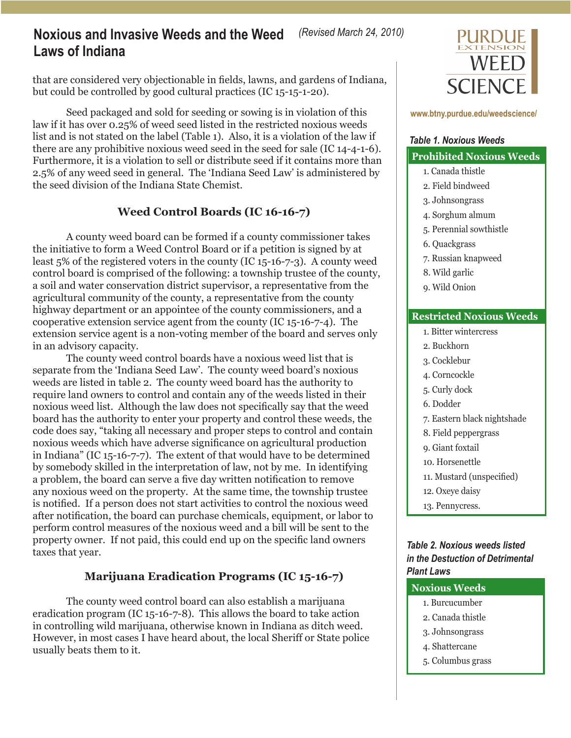that are considered very objectionable in fields, lawns, and gardens of Indiana, but could be controlled by good cultural practices (IC 15-15-1-20).

Seed packaged and sold for seeding or sowing is in violation of this law if it has over 0.25% of weed seed listed in the restricted noxious weeds list and is not stated on the label (Table 1). Also, it is a violation of the law if there are any prohibitive noxious weed seed in the seed for sale (IC 14-4-1-6). Furthermore, it is a violation to sell or distribute seed if it contains more than 2.5% of any weed seed in general. The 'Indiana Seed Law' is administered by the seed division of the Indiana State Chemist.

### **Weed Control Boards (IC 16-16-7)**

A county weed board can be formed if a county commissioner takes the initiative to form a Weed Control Board or if a petition is signed by at least 5% of the registered voters in the county (IC 15-16-7-3). A county weed control board is comprised of the following: a township trustee of the county, a soil and water conservation district supervisor, a representative from the agricultural community of the county, a representative from the county highway department or an appointee of the county commissioners, and a cooperative extension service agent from the county (IC 15-16-7-4). The extension service agent is a non-voting member of the board and serves only in an advisory capacity.

The county weed control boards have a noxious weed list that is separate from the 'Indiana Seed Law'. The county weed board's noxious weeds are listed in table 2. The county weed board has the authority to require land owners to control and contain any of the weeds listed in their noxious weed list. Although the law does not specifically say that the weed board has the authority to enter your property and control these weeds, the code does say, "taking all necessary and proper steps to control and contain noxious weeds which have adverse significance on agricultural production in Indiana" (IC 15-16-7-7). The extent of that would have to be determined by somebody skilled in the interpretation of law, not by me. In identifying a problem, the board can serve a five day written notification to remove any noxious weed on the property. At the same time, the township trustee is notified. If a person does not start activities to control the noxious weed after notification, the board can purchase chemicals, equipment, or labor to perform control measures of the noxious weed and a bill will be sent to the property owner. If not paid, this could end up on the specific land owners taxes that year.

### **Marijuana Eradication Programs (IC 15-16-7)**

The county weed control board can also establish a marijuana eradication program (IC 15-16-7-8). This allows the board to take action in controlling wild marijuana, otherwise known in Indiana as ditch weed. However, in most cases I have heard about, the local Sheriff or State police usually beats them to it.



**<www.btny.purdue.edu/weedscience/>**

### **Prohibited Noxious Weeds** *Table 1. Noxious Weeds*

#### 1. Canada thistle

- 2. Field bindweed
- 3. Johnsongrass
- 4. Sorghum almum
- 5. Perennial sowthistle
- 6. Quackgrass
- 7. Russian knapweed
- 8. Wild garlic
- 9. Wild Onion

#### **Restricted Noxious Weeds**

- 1. Bitter wintercress
- 2. Buckhorn
- 3. Cocklebur
- 4. Corncockle
- 5. Curly dock
- 6. Dodder
- 7. Eastern black nightshade
- 8. Field peppergrass
- 9. Giant foxtail
- 10. Horsenettle
- 11. Mustard (unspecified)
- 12. Oxeye daisy
- 13. Pennycress.

### *Table 2. Noxious weeds listed in the Destuction of Detrimental Plant Laws*

## **Noxious Weeds** 1. Burcucumber 2. Canada thistle 3. Johnsongrass 4. Shattercane 5. Columbus grass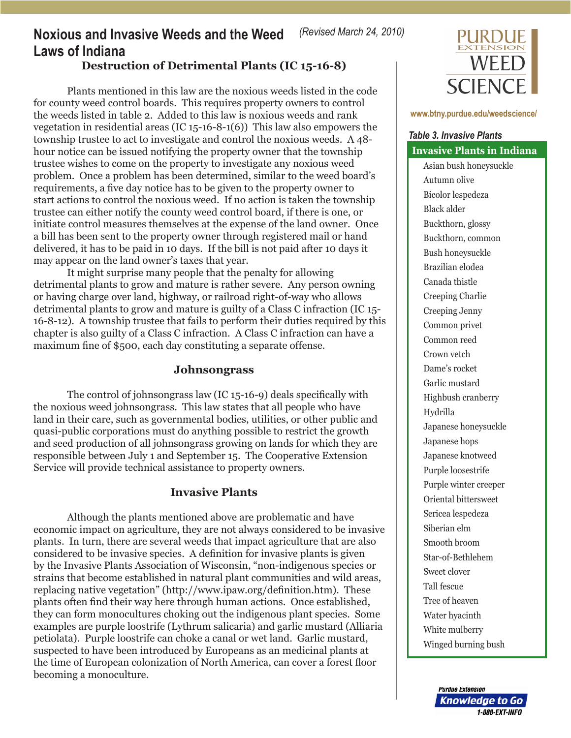## **Noxious and Invasive Weeds and the Weed Laws of Indiana**

## **Destruction of Detrimental Plants (IC 15-16-8)**

Plants mentioned in this law are the noxious weeds listed in the code for county weed control boards. This requires property owners to control the weeds listed in table 2. Added to this law is noxious weeds and rank vegetation in residential areas (IC 15-16-8-1(6)) This law also empowers the township trustee to act to investigate and control the noxious weeds. A 48 hour notice can be issued notifying the property owner that the township trustee wishes to come on the property to investigate any noxious weed problem. Once a problem has been determined, similar to the weed board's requirements, a five day notice has to be given to the property owner to start actions to control the noxious weed. If no action is taken the township trustee can either notify the county weed control board, if there is one, or initiate control measures themselves at the expense of the land owner. Once a bill has been sent to the property owner through registered mail or hand delivered, it has to be paid in 10 days. If the bill is not paid after 10 days it may appear on the land owner's taxes that year.

It might surprise many people that the penalty for allowing detrimental plants to grow and mature is rather severe. Any person owning or having charge over land, highway, or railroad right-of-way who allows detrimental plants to grow and mature is guilty of a Class C infraction (IC 15- 16-8-12). A township trustee that fails to perform their duties required by this chapter is also guilty of a Class C infraction. A Class C infraction can have a maximum fine of \$500, each day constituting a separate offense.

## **Johnsongrass**

The control of johnsongrass law (IC 15-16-9) deals specifically with the noxious weed johnsongrass. This law states that all people who have land in their care, such as governmental bodies, utilities, or other public and quasi-public corporations must do anything possible to restrict the growth and seed production of all johnsongrass growing on lands for which they are responsible between July 1 and September 15. The Cooperative Extension Service will provide technical assistance to property owners.

### **Invasive Plants**

Although the plants mentioned above are problematic and have economic impact on agriculture, they are not always considered to be invasive plants. In turn, there are several weeds that impact agriculture that are also considered to be invasive species. A definition for invasive plants is given by the Invasive Plants Association of Wisconsin, "non-indigenous species or strains that become established in natural plant communities and wild areas, replacing native vegetation" (http://www.ipaw.org/definition.htm). These plants often find their way here through human actions. Once established, they can form monocultures choking out the indigenous plant species. Some examples are purple loostrife (Lythrum salicaria) and garlic mustard (Alliaria petiolata). Purple loostrife can choke a canal or wet land. Garlic mustard, suspected to have been introduced by Europeans as an medicinal plants at the time of European colonization of North America, can cover a forest floor becoming a monoculture.



#### **<www.btny.purdue.edu/weedscience/>**

## **Invasive Plants in Indiana** *Table 3. Invasive Plants*

Asian bush honeysuckle Autumn olive Bicolor lespedeza Black alder Buckthorn, glossy Buckthorn, common Bush honeysuckle Brazilian elodea Canada thistle Creeping Charlie Creeping Jenny Common privet Common reed Crown vetch Dame's rocket Garlic mustard Highbush cranberry Hydrilla Japanese honeysuckle Japanese hops Japanese knotweed Purple loosestrife Purple winter creeper Oriental bittersweet Sericea lespedeza Siberian elm Smooth broom Star-of-Bethlehem Sweet clover Tall fescue Tree of heaven Water hyacinth White mulberry Winged burning bush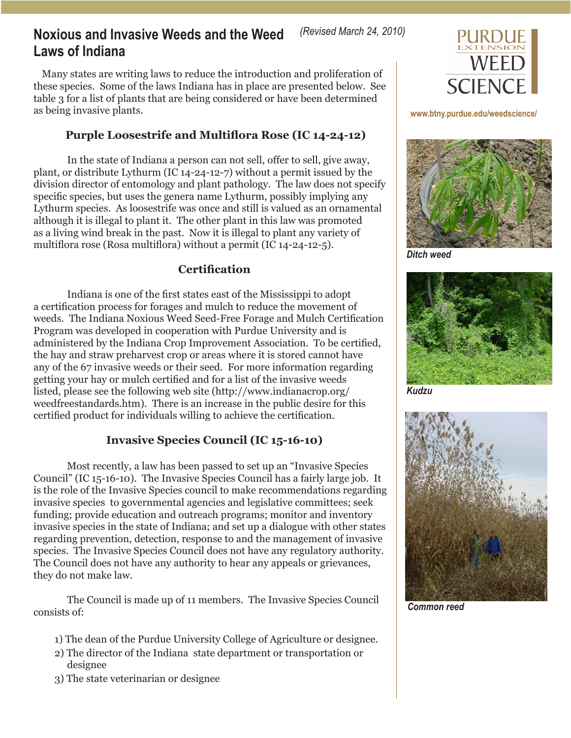## **Noxious and Invasive Weeds and the Weed Laws of Indiana**

Many states are writing laws to reduce the introduction and proliferation of these species. Some of the laws Indiana has in place are presented below. See table 3 for a list of plants that are being considered or have been determined as being invasive plants.

## **Purple Loosestrife and Multiflora Rose (IC 14-24-12)**

In the state of Indiana a person can not sell, offer to sell, give away, plant, or distribute Lythurm (IC 14-24-12-7) without a permit issued by the division director of entomology and plant pathology. The law does not specify specific species, but uses the genera name Lythurm, possibly implying any Lythurm species. As loosestrife was once and still is valued as an ornamental although it is illegal to plant it. The other plant in this law was promoted as a living wind break in the past. Now it is illegal to plant any variety of multiflora rose (Rosa multiflora) without a permit (IC 14-24-12-5).

## **Certification**

Indiana is one of the first states east of the Mississippi to adopt a certification process for forages and mulch to reduce the movement of weeds. The Indiana Noxious Weed Seed-Free Forage and Mulch Certification Program was developed in cooperation with Purdue University and is administered by the Indiana Crop Improvement Association. To be certified, the hay and straw preharvest crop or areas where it is stored cannot have any of the 67 invasive weeds or their seed. For more information regarding getting your hay or mulch certified and for a list of the invasive weeds listed, please see the following web site (http://www.indianacrop.org/ weedfreestandards.htm). There is an increase in the public desire for this certified product for individuals willing to achieve the certification.

## **Invasive Species Council (IC 15-16-10)**

Most recently, a law has been passed to set up an "Invasive Species Council" (IC 15-16-10). The Invasive Species Council has a fairly large job. It is the role of the Invasive Species council to make recommendations regarding invasive species to governmental agencies and legislative committees; seek funding; provide education and outreach programs; monitor and inventory invasive species in the state of Indiana; and set up a dialogue with other states regarding prevention, detection, response to and the management of invasive species. The Invasive Species Council does not have any regulatory authority. The Council does not have any authority to hear any appeals or grievances, they do not make law.

The Council is made up of 11 members. The Invasive Species Council consists of:

- 1) The dean of the Purdue University College of Agriculture or designee.
- 2) The director of the Indiana state department or transportation or designee
- 3) The state veterinarian or designee



### **<www.btny.purdue.edu/weedscience/>**



*Ditch weed*



*Kudzu*



*Common reed*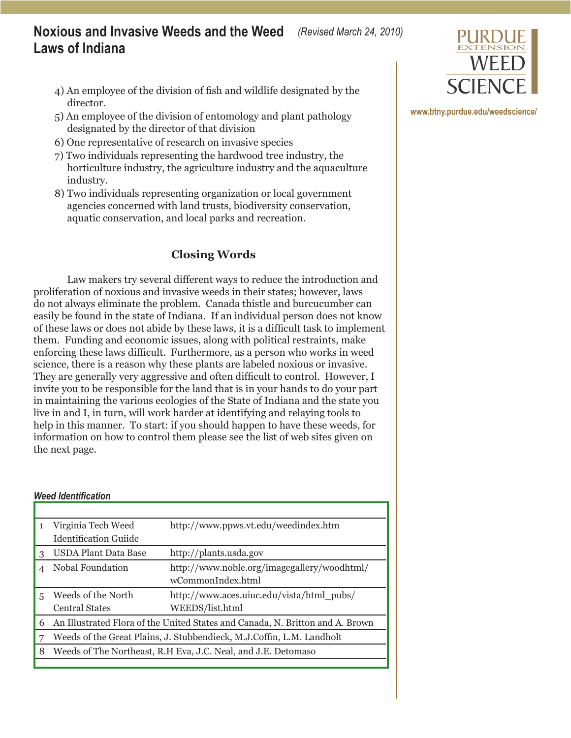## **Noxious and Invasive Weeds and the Weed**   *(Revised March 24, 2010)* **Laws of Indiana**

- 4) An employee of the division of fish and wildlife designated by the director.
- 5) An employee of the division of entomology and plant pathology designated by the director of that division
- 6) One representative of research on invasive species
- 7) Two individuals representing the hardwood tree industry, the horticulture industry, the agriculture industry and the aquaculture industry.
- 8) Two individuals representing organization or local government agencies concerned with land trusts, biodiversity conservation, aquatic conservation, and local parks and recreation.

## **Closing Words**

Law makers try several different ways to reduce the introduction and proliferation of noxious and invasive weeds in their states; however, laws do not always eliminate the problem. Canada thistle and burcucumber can easily be found in the state of Indiana. If an individual person does not know of these laws or does not abide by these laws, it is a difficult task to implement them. Funding and economic issues, along with political restraints, make enforcing these laws difficult. Furthermore, as a person who works in weed science, there is a reason why these plants are labeled noxious or invasive. They are generally very aggressive and often difficult to control. However, I invite you to be responsible for the land that is in your hands to do your part in maintaining the various ecologies of the State of Indiana and the state you live in and I, in turn, will work harder at identifying and relaying tools to help in this manner. To start: if you should happen to have these weeds, for information on how to control them please see the list of web sites given on the next page.

### *Weed Identification*

| $\mathbf{1}$ | Virginia Tech Weed                                                            | http://www.ppws.vt.edu/weedindex.htm        |  |
|--------------|-------------------------------------------------------------------------------|---------------------------------------------|--|
|              | Identification Guiide                                                         |                                             |  |
| 3            | <b>USDA Plant Data Base</b>                                                   | http://plants.usda.gov                      |  |
|              | Nobal Foundation                                                              | http://www.noble.org/imagegallery/woodhtml/ |  |
|              |                                                                               | wCommonIndex.html                           |  |
| 5            | Weeds of the North                                                            | http://www.aces.uiuc.edu/vista/html_pubs/   |  |
|              | <b>Central States</b>                                                         | WEEDS/list.html                             |  |
| 6            | An Illustrated Flora of the United States and Canada, N. Britton and A. Brown |                                             |  |
| 7            | Weeds of the Great Plains, J. Stubbendieck, M.J.Coffin, L.M. Landholt         |                                             |  |
| 8            | Weeds of The Northeast, R.H Eva, J.C. Neal, and J.E. Detomaso                 |                                             |  |
|              |                                                                               |                                             |  |



**<www.btny.purdue.edu/weedscience/>**